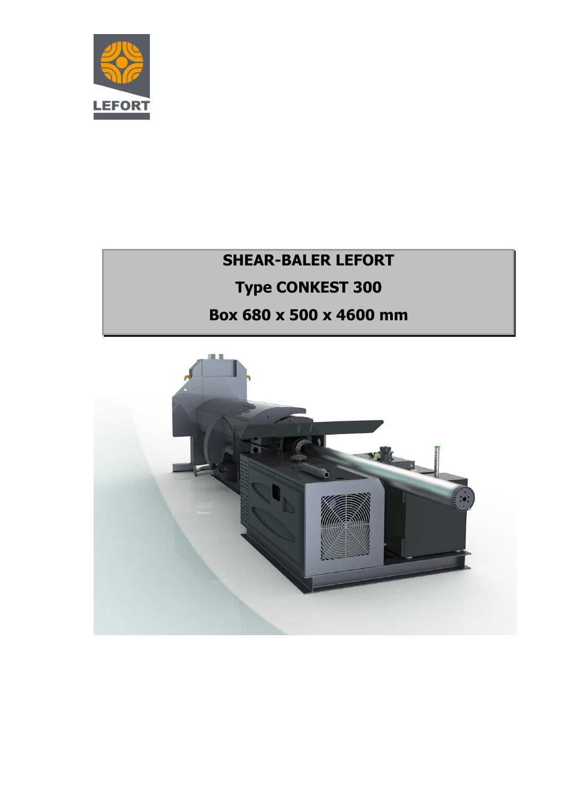

# **SHEAR-BALER LEFORT Type CONKEST 300 Box 680 x 500 x 4600 mm**

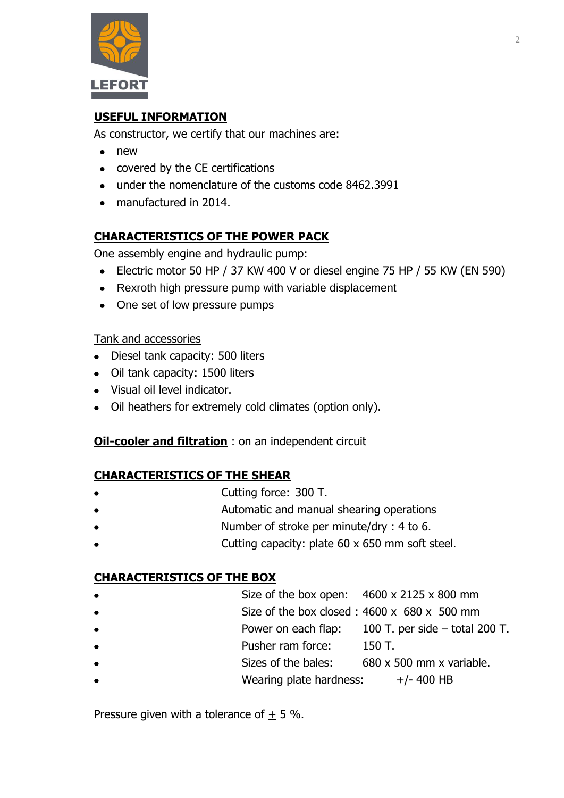

# **USEFUL INFORMATION**

As constructor, we certify that our machines are:

- new
- covered by the CE certifications
- under the nomenclature of the customs code 8462.3991
- manufactured in 2014.

# **CHARACTERISTICS OF THE POWER PACK**

One assembly engine and hydraulic pump:

- Electric motor 50 HP / 37 KW 400 V or diesel engine 75 HP / 55 KW (EN 590)
- Rexroth high pressure pump with variable displacement
- One set of low pressure pumps

#### Tank and accessories

- Diesel tank capacity: 500 liters
- Oil tank capacity: 1500 liters
- Visual oil level indicator.
- Oil heathers for extremely cold climates (option only).

#### **Oil-cooler and filtration** : on an independent circuit

#### **CHARACTERISTICS OF THE SHEAR**

- Cutting force: 300 T.
- Automatic and manual shearing operations
- Number of stroke per minute/dry : 4 to 6.
- Cutting capacity: plate 60 x 650 mm soft steel.

#### **CHARACTERISTICS OF THE BOX**

- Size of the box open:  $4600 \times 2125 \times 800$  mm
- Size of the box closed : 4600 x 680 x 500 mm
- Power on each flap: 100 T. per side total 200 T.
- Pusher ram force: 150 T.
- Sizes of the bales: 680 x 500 mm x variable.
- Wearing plate hardness:  $+/- 400$  HB

Pressure given with a tolerance of  $\pm$  5 %.